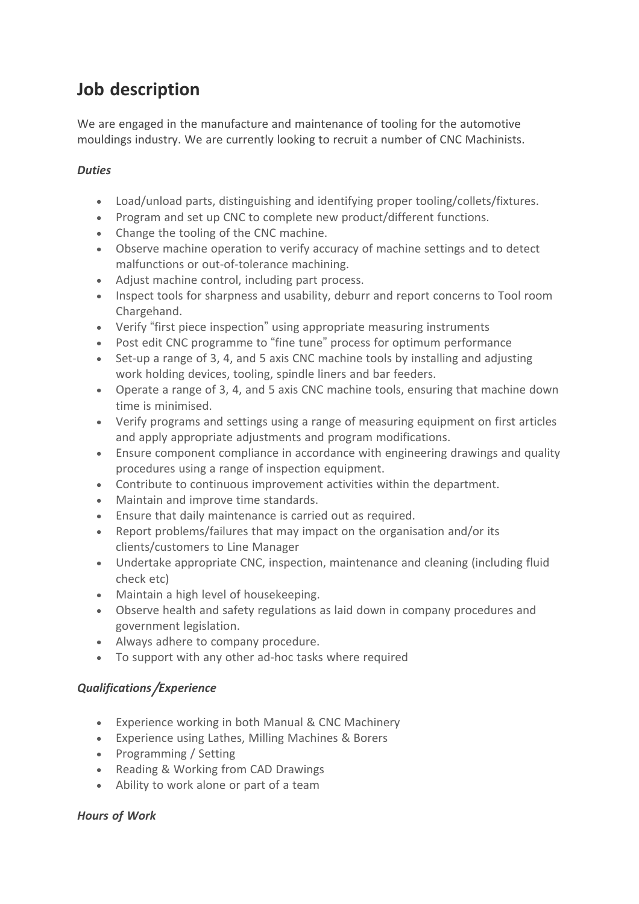# **Job description**

We are engaged in the manufacture and maintenance of tooling for the automotive mouldings industry. We are currently looking to recruit a number of CNC Machinists.

## *Duties*

- Load/unload parts, distinguishing and identifying proper tooling/collets/fixtures.
- Program and set up CNC to complete new product/different functions.
- Change the tooling of the CNC machine.
- Observe machine operation to verify accuracy of machine settings and to detect malfunctions or out-of-tolerance machining.
- Adjust machine control, including part process.
- Inspect tools for sharpness and usability, deburr and report concerns to Tool room Chargehand.
- Verify "first piece inspection" using appropriate measuring instruments
- Post edit CNC programme to "fine tune" process for optimum performance
- Set-up a range of 3, 4, and 5 axis CNC machine tools by installing and adjusting work holding devices, tooling, spindle liners and bar feeders.
- Operate a range of 3, 4, and 5 axis CNC machine tools, ensuring that machine down time is minimised.
- Verify programs and settings using a range of measuring equipment on first articles and apply appropriate adjustments and program modifications.
- Ensure component compliance in accordance with engineering drawings and quality procedures using a range of inspection equipment.
- Contribute to continuous improvement activities within the department.
- Maintain and improve time standards.
- Ensure that daily maintenance is carried out as required.
- Report problems/failures that may impact on the organisation and/or its clients/customers to Line Manager
- Undertake appropriate CNC, inspection, maintenance and cleaning (including fluid check etc)
- Maintain a high level of housekeeping.
- Observe health and safety regulations as laid down in company procedures and government legislation.
- Always adhere to company procedure.
- To support with any other ad-hoc tasks where required

## *Qualifications***/***Experience*

- Experience working in both Manual & CNC Machinery
- Experience using Lathes, Milling Machines & Borers
- Programming / Setting
- Reading & Working from CAD Drawings
- Ability to work alone or part of a team

## *Hours of Work*